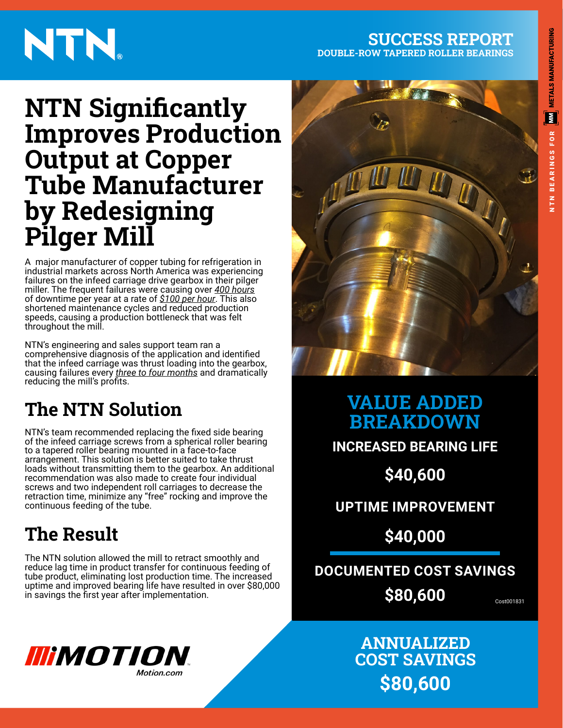#### **SUCCESS REPORT DOUBLE-ROW TAPERED ROLLER BEARINGS**

# NTN.

# **NTN Significantly Improves Production Output at Copper Tube Manufacturer by Redesigning Pilger Mill**

A major manufacturer of copper tubing for refrigeration in industrial markets across North America was experiencing failures on the infeed carriage drive gearbox in their pilger miller. The frequent failures were causing over *400 hours* of downtime per year at a rate of *\$100 per hour*. This also shortened maintenance cycles and reduced production speeds, causing a production bottleneck that was felt throughout the mill.

NTN's engineering and sales support team ran a comprehensive diagnosis of the application and identified that the infeed carriage was thrust loading into the gearbox, causing failures every *three to four months* and dramatically reducing the mill's profits.

### **The NTN Solution**

NTN's team recommended replacing the fixed side bearing of the infeed carriage screws from a spherical roller bearing to a tapered roller bearing mounted in a face-to-face arrangement. This solution is better suited to take thrust loads without transmitting them to the gearbox. An additional recommendation was also made to create four individual screws and two independent roll carriages to decrease the retraction time, minimize any "free" rocking and improve the continuous feeding of the tube.

## **The Result**

The NTN solution allowed the mill to retract smoothly and reduce lag time in product transfer for continuous feeding of tube product, eliminating lost production time. The increased uptime and improved bearing life have resulted in over \$80,000 in savings the first year after implementation.  $S80,600$ 



**VALUE ADDED BREAKDOWN**

**INCREASED BEARING LIFE**

**\$40,600**

**UPTIME IMPROVEMENT**

**\$40,000**

**DOCUMENTED COST SAVINGS**

**\$80,600**

### **ANNUALIZED COST SAVINGS \$80,600**